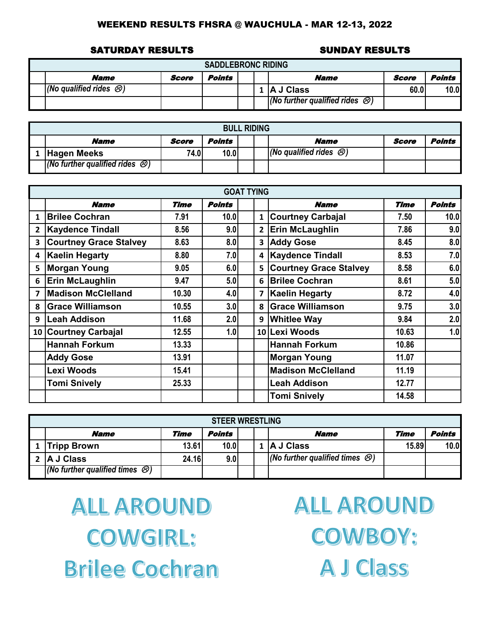### SATURDAY RESULTS SUNDAY RESULTS

| <b>SADDLEBRONC RIDING</b>           |       |        |  |  |                                              |       |        |  |  |  |  |
|-------------------------------------|-------|--------|--|--|----------------------------------------------|-------|--------|--|--|--|--|
| <b>Name</b>                         | Score | Points |  |  | Name                                         | Score | Points |  |  |  |  |
| $ $ (No qualified rides $\otimes$ ) |       |        |  |  | 1  A J Class                                 | 60.0  | 10.0   |  |  |  |  |
|                                     |       |        |  |  | (No further qualified rides $\mathcal{O}(n)$ |       |        |  |  |  |  |

|                                                |       |        | <b>BULL RIDING</b> |                                     |       |        |
|------------------------------------------------|-------|--------|--------------------|-------------------------------------|-------|--------|
| <b>Name</b>                                    | Score | Points |                    | Name                                | Score | Points |
| <b>Hagen Meeks</b>                             | 74.0  | 10.0   |                    | (No qualified rides $\mathcal{B}$ ) |       |        |
| $(No$ further qualified rides $\mathcal{O}(n)$ |       |        |                    |                                     |       |        |

|              |                               |       |                   | <b>GOAT TYING</b> |              |                               |             |               |
|--------------|-------------------------------|-------|-------------------|-------------------|--------------|-------------------------------|-------------|---------------|
|              | <b>Name</b>                   | Time  | <b>Points</b>     |                   |              | <b>Name</b>                   | <b>Time</b> | <b>Points</b> |
| $\mathbf{1}$ | <b>Brilee Cochran</b>         | 7.91  | 10.0 <sub>l</sub> |                   | 1            | <b>Courtney Carbajal</b>      | 7.50        | 10.0          |
| 2            | <b>Kaydence Tindall</b>       | 8.56  | 9.0               |                   | $\mathbf{2}$ | <b>Erin McLaughlin</b>        | 7.86        | 9.0           |
| 3            | <b>Courtney Grace Stalvey</b> | 8.63  | 8.0               |                   | 3            | <b>Addy Gose</b>              | 8.45        | 8.0           |
| 4            | Kaelin Hegarty                | 8.80  | 7.0               |                   | 4            | <b>Kaydence Tindall</b>       | 8.53        | 7.0           |
| 5            | <b>Morgan Young</b>           | 9.05  | 6.0               |                   | 5.           | <b>Courtney Grace Stalvey</b> | 8.58        | 6.0           |
| 6            | <b>Erin McLaughlin</b>        | 9.47  | 5.0               |                   | 6            | <b>Brilee Cochran</b>         | 8.61        | 5.0           |
| 7            | <b>Madison McClelland</b>     | 10.30 | 4.0               |                   | 7            | <b>Kaelin Hegarty</b>         | 8.72        | 4.0           |
| 8            | <b>Grace Williamson</b>       | 10.55 | 3.0               |                   | 8            | <b>Grace Williamson</b>       | 9.75        | 3.0           |
| 9            | Leah Addison                  | 11.68 | 2.0               |                   | 9            | <b>Whitlee Way</b>            | 9.84        | 2.0           |
|              | 10 Courtney Carbajal          | 12.55 | 1.0               |                   |              | 10 Lexi Woods                 | 10.63       | 1.0           |
|              | <b>Hannah Forkum</b>          | 13.33 |                   |                   |              | <b>Hannah Forkum</b>          | 10.86       |               |
|              | <b>Addy Gose</b>              | 13.91 |                   |                   |              | <b>Morgan Young</b>           | 11.07       |               |
|              | Lexi Woods                    | 15.41 |                   |                   |              | <b>Madison McClelland</b>     | 11.19       |               |
|              | <b>Tomi Snively</b>           | 25.33 |                   |                   |              | <b>Leah Addison</b>           | 12.77       |               |
|              |                               |       |                   |                   |              | <b>Tomi Snively</b>           | 14.58       |               |

| <b>STEER WRESTLING</b>                                                              |       |      |  |  |                                              |       |      |  |
|-------------------------------------------------------------------------------------|-------|------|--|--|----------------------------------------------|-------|------|--|
| Time<br><b>Points</b><br>Time<br><i><b>Points</b></i><br><b>Name</b><br><b>Name</b> |       |      |  |  |                                              |       |      |  |
| <b>Tripp Brown</b>                                                                  | 13.61 | 10.0 |  |  | <b>A J Class</b>                             | 15.89 | 10.0 |  |
| <b>A J Class</b>                                                                    | 24.16 | 9.0  |  |  | (No further qualified times $\mathcal{O}(n)$ |       |      |  |
| $(No$ further qualified times $\mathcal{B})$                                        |       |      |  |  |                                              |       |      |  |

**ALL AROUND COWGIRL: Brilee Cochran**  **ALL AROUND COWBOY: A J Class**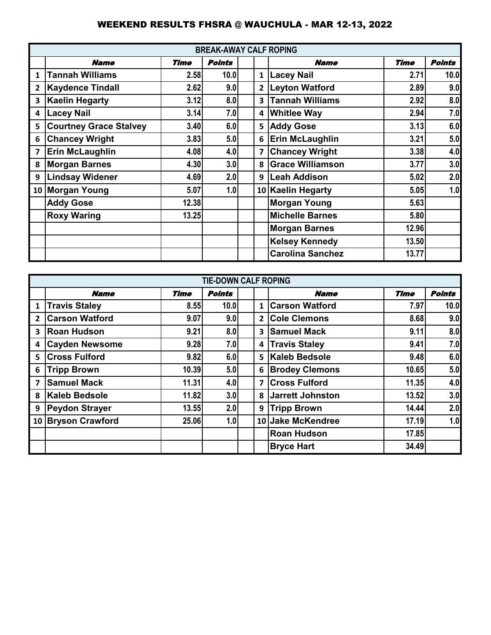|   | <b>BREAK-AWAY CALF ROPING</b> |       |               |  |                |                         |             |        |  |  |
|---|-------------------------------|-------|---------------|--|----------------|-------------------------|-------------|--------|--|--|
|   | <b>Name</b>                   | Time  | <b>Points</b> |  |                | <b>Name</b>             | <b>Time</b> | Points |  |  |
| 1 | <b>Tannah Williams</b>        | 2.58  | 10.0          |  | $\mathbf{1}$   | <b>Lacey Nail</b>       | 2.71        | 10.0   |  |  |
| 2 | <b>Kaydence Tindall</b>       | 2.62  | 9.0           |  | $\mathbf{2}$   | <b>Leyton Watford</b>   | 2.89        | 9.0    |  |  |
| 3 | <b>Kaelin Hegarty</b>         | 3.12  | 8.0           |  | 3              | <b>Tannah Williams</b>  | 2.92        | 8.0    |  |  |
| 4 | <b>Lacey Nail</b>             | 3.14  | 7.0           |  | 4              | <b>Whitlee Way</b>      | 2.94        | 7.0    |  |  |
| 5 | <b>Courtney Grace Stalvey</b> | 3.40  | 6.0           |  | 5              | <b>Addy Gose</b>        | 3.13        | 6.0    |  |  |
| 6 | <b>Chancey Wright</b>         | 3.83  | 5.0           |  | 6              | <b>Erin McLaughlin</b>  | 3.21        | 5.0    |  |  |
| 7 | Erin McLaughlin               | 4.08  | 4.0           |  | $\overline{ }$ | <b>Chancey Wright</b>   | 3.38        | 4.0    |  |  |
| 8 | <b>Morgan Barnes</b>          | 4.30  | 3.0           |  | 8              | <b>Grace Williamson</b> | 3.77        | 3.0    |  |  |
| 9 | <b>Lindsay Widener</b>        | 4.69  | 2.0           |  | 9              | <b>Leah Addison</b>     | 5.02        | 2.0    |  |  |
|   | 10 Morgan Young               | 5.07  | 1.0           |  |                | 10 Kaelin Hegarty       | 5.05        | 1.0    |  |  |
|   | <b>Addy Gose</b>              | 12.38 |               |  |                | <b>Morgan Young</b>     | 5.63        |        |  |  |
|   | <b>Roxy Waring</b>            | 13.25 |               |  |                | <b>Michelle Barnes</b>  | 5.80        |        |  |  |
|   |                               |       |               |  |                | <b>Morgan Barnes</b>    | 12.96       |        |  |  |
|   |                               |       |               |  |                | <b>Kelsey Kennedy</b>   | 13.50       |        |  |  |
|   |                               |       |               |  |                | <b>Carolina Sanchez</b> | 13.77       |        |  |  |

|   |                       |       | <b>TIE-DOWN CALF ROPING</b> |                         |                         |             |               |
|---|-----------------------|-------|-----------------------------|-------------------------|-------------------------|-------------|---------------|
|   | <b>Name</b>           | Time  | <b>Points</b>               |                         | <b>Name</b>             | <b>Time</b> | <b>Points</b> |
| 1 | <b>Travis Staley</b>  | 8.55  | 10.0                        | 1                       | <b>Carson Watford</b>   | 7.97        | 10.0          |
| 2 | <b>Carson Watford</b> | 9.07  | 9.0                         | $\overline{2}$          | <b>Cole Clemons</b>     | 8.68        | 9.0           |
| 3 | <b>Roan Hudson</b>    | 9.21  | 8.0                         | 3                       | <b>Samuel Mack</b>      | 9.11        | 8.0           |
| 4 | <b>Cayden Newsome</b> | 9.28  | 7.0                         | 4                       | <b>Travis Staley</b>    | 9.41        | 7.0           |
| 5 | <b>Cross Fulford</b>  | 9.82  | 6.0                         | 5.                      | Kaleb Bedsole           | 9.48        | 6.0           |
| 6 | <b>Tripp Brown</b>    | 10.39 | 5.0                         | 6                       | <b>Brodey Clemons</b>   | 10.65       | 5.0           |
| 7 | <b>Samuel Mack</b>    | 11.31 | 4.0                         | $\overline{\mathbf{z}}$ | <b>Cross Fulford</b>    | 11.35       | 4.0           |
| 8 | Kaleb Bedsole         | 11.82 | 3.0                         | 8                       | <b>Jarrett Johnston</b> | 13.52       | 3.0           |
| 9 | <b>Peydon Strayer</b> | 13.55 | 2.0                         | 9                       | <b>Tripp Brown</b>      | 14.44       | 2.0           |
|   | 10 Bryson Crawford    | 25.06 | 1.0                         |                         | 10 Jake McKendree       | 17.19       | 1.0           |
|   |                       |       |                             |                         | <b>Roan Hudson</b>      | 17.85       |               |
|   |                       |       |                             |                         | <b>Bryce Hart</b>       | 34.49       |               |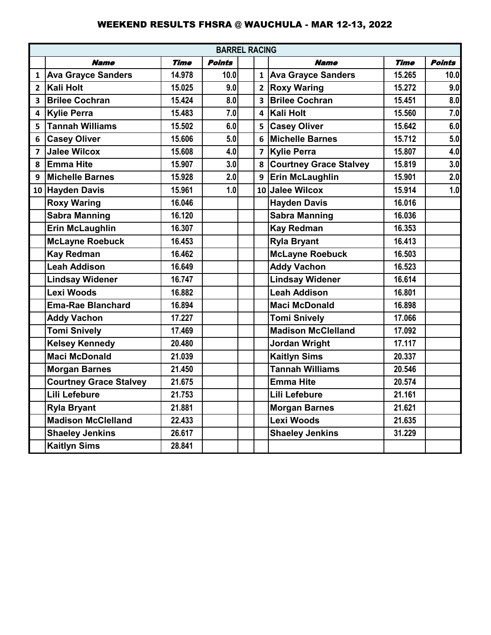|                |                               |        | <b>BARREL RACING</b> |                         |                               |             |               |
|----------------|-------------------------------|--------|----------------------|-------------------------|-------------------------------|-------------|---------------|
|                | <b>Name</b>                   | Time   | <b>Points</b>        |                         | <b>Name</b>                   | <b>Time</b> | <b>Points</b> |
| $\mathbf{1}$   | <b>Ava Grayce Sanders</b>     | 14.978 | 10.0                 |                         | 1 Ava Grayce Sanders          | 15.265      | 10.0          |
| $\overline{2}$ | Kali Holt                     | 15.025 | 9.0                  |                         | 2 Roxy Waring                 | 15.272      | 9.0           |
| 3              | <b>Brilee Cochran</b>         | 15.424 | 8.0                  | $\overline{\mathbf{3}}$ | <b>Brilee Cochran</b>         | 15.451      | 8.0           |
| 4              | <b>Kylie Perra</b>            | 15.483 | 7.0                  | 4                       | <b>Kali Holt</b>              | 15.560      | 7.0           |
| 5              | <b>Tannah Williams</b>        | 15.502 | 6.0                  |                         | 5 Casey Oliver                | 15.642      | 6.0           |
| 6              | <b>Casey Oliver</b>           | 15.606 | 5.0                  | 6                       | Michelle Barnes               | 15.712      | 5.0           |
| 7              | <b>Jalee Wilcox</b>           | 15.608 | 4.0                  |                         | 7 Kylie Perra                 | 15.807      | 4.0           |
| 8              | <b>Emma Hite</b>              | 15.907 | 3.0                  | 8                       | <b>Courtney Grace Stalvey</b> | 15.819      | 3.0           |
| 9              | <b>Michelle Barnes</b>        | 15.928 | 2.0                  | 9                       | <b>Erin McLaughlin</b>        | 15.901      | 2.0           |
|                | 10 Hayden Davis               | 15.961 | 1.0                  |                         | 10 Jalee Wilcox               | 15.914      | 1.0           |
|                | <b>Roxy Waring</b>            | 16.046 |                      |                         | <b>Hayden Davis</b>           | 16.016      |               |
|                | <b>Sabra Manning</b>          | 16.120 |                      |                         | <b>Sabra Manning</b>          | 16.036      |               |
|                | <b>Erin McLaughlin</b>        | 16.307 |                      |                         | <b>Kay Redman</b>             | 16.353      |               |
|                | <b>McLayne Roebuck</b>        | 16.453 |                      |                         | <b>Ryla Bryant</b>            | 16.413      |               |
|                | <b>Kay Redman</b>             | 16.462 |                      |                         | <b>McLayne Roebuck</b>        | 16.503      |               |
|                | <b>Leah Addison</b>           | 16.649 |                      |                         | <b>Addy Vachon</b>            | 16.523      |               |
|                | <b>Lindsay Widener</b>        | 16.747 |                      |                         | <b>Lindsay Widener</b>        | 16.614      |               |
|                | <b>Lexi Woods</b>             | 16.882 |                      |                         | <b>Leah Addison</b>           | 16.801      |               |
|                | <b>Ema-Rae Blanchard</b>      | 16.894 |                      |                         | <b>Maci McDonald</b>          | 16.898      |               |
|                | <b>Addy Vachon</b>            | 17.227 |                      |                         | <b>Tomi Snively</b>           | 17.066      |               |
|                | <b>Tomi Snively</b>           | 17.469 |                      |                         | <b>Madison McClelland</b>     | 17.092      |               |
|                | <b>Kelsey Kennedy</b>         | 20.480 |                      |                         | <b>Jordan Wright</b>          | 17.117      |               |
|                | <b>Maci McDonald</b>          | 21.039 |                      |                         | <b>Kaitlyn Sims</b>           | 20.337      |               |
|                | <b>Morgan Barnes</b>          | 21.450 |                      |                         | <b>Tannah Williams</b>        | 20.546      |               |
|                | <b>Courtney Grace Stalvey</b> | 21.675 |                      |                         | <b>Emma Hite</b>              | 20.574      |               |
|                | Lili Lefebure                 | 21.753 |                      |                         | <b>Lili Lefebure</b>          | 21.161      |               |
|                | <b>Ryla Bryant</b>            | 21.881 |                      |                         | <b>Morgan Barnes</b>          | 21.621      |               |
|                | <b>Madison McClelland</b>     | 22.433 |                      |                         | Lexi Woods                    | 21.635      |               |
|                | <b>Shaeley Jenkins</b>        | 26.617 |                      |                         | <b>Shaeley Jenkins</b>        | 31.229      |               |
|                | <b>Kaitlyn Sims</b>           | 28.841 |                      |                         |                               |             |               |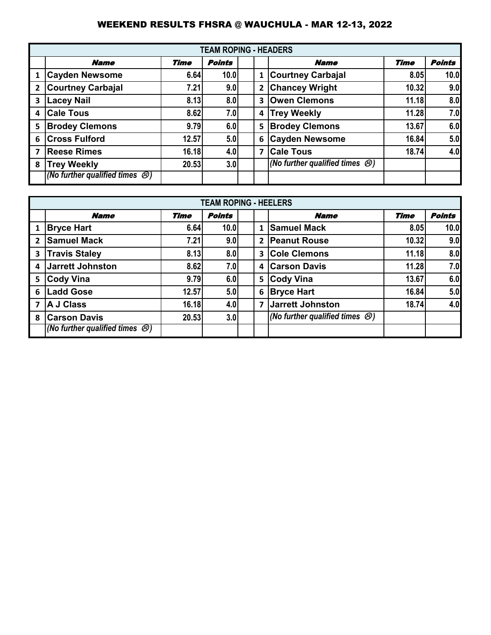|                | <b>TEAM ROPING - HEADERS</b>                 |             |                  |  |              |                                              |             |               |  |  |  |  |  |
|----------------|----------------------------------------------|-------------|------------------|--|--------------|----------------------------------------------|-------------|---------------|--|--|--|--|--|
|                | <b>Name</b>                                  | <b>Time</b> | <b>Points</b>    |  |              | <b>Name</b>                                  | <b>Time</b> | <b>Points</b> |  |  |  |  |  |
| 1              | <b>Cayden Newsome</b>                        | 6.64        | 10.0             |  | 1            | <b>Courtney Carbajal</b>                     | 8.05        | 10.0          |  |  |  |  |  |
| $\overline{2}$ | <b>Courtney Carbajal</b>                     | 7.21        | 9.0              |  | $\mathbf{2}$ | <b>Chancey Wright</b>                        | 10.32       | 9.0           |  |  |  |  |  |
| 3              | <b>Lacey Nail</b>                            | 8.13        | 8.0 <sub>1</sub> |  | 3            | <b>Owen Clemons</b>                          | 11.18       | 8.0           |  |  |  |  |  |
| 4              | <b>Cale Tous</b>                             | 8.62        | 7.0              |  | 4            | <b>Trey Weekly</b>                           | 11.28       | 7.0           |  |  |  |  |  |
| 5              | <b>Brodey Clemons</b>                        | 9.79        | 6.0              |  | 5            | <b>Brodey Clemons</b>                        | 13.67       | 6.0           |  |  |  |  |  |
| 6              | <b>Cross Fulford</b>                         | 12.57       | 5.0              |  | 6            | <b>Cayden Newsome</b>                        | 16.84       | 5.0           |  |  |  |  |  |
| 7              | <b>Reese Rimes</b>                           | 16.18       | 4.0 <sub>1</sub> |  | 7            | <b>Cale Tous</b>                             | 18.74       | 4.0           |  |  |  |  |  |
| 8              | <b>Trey Weekly</b>                           | 20.53       | 3.0              |  |              | (No further qualified times $\mathcal{O}(n)$ |             |               |  |  |  |  |  |
|                | (No further qualified times $\mathcal{O}(n)$ |             |                  |  |              |                                              |             |               |  |  |  |  |  |

|                |                                              |             | <b>TEAM ROPING - HEELERS</b> |              |                                                       |             |               |
|----------------|----------------------------------------------|-------------|------------------------------|--------------|-------------------------------------------------------|-------------|---------------|
|                | <b>Name</b>                                  | <b>Time</b> | <b>Points</b>                |              | <b>Name</b>                                           | <b>Time</b> | <b>Points</b> |
| 1              | <b>Bryce Hart</b>                            | 6.64        | 10.0                         | 1            | <b>Samuel Mack</b>                                    | 8.05        | 10.0          |
| $\overline{2}$ | <b>Samuel Mack</b>                           | 7.21        | 9.0                          | $\mathbf{2}$ | <b>Peanut Rouse</b>                                   | 10.32       | 9.0           |
|                | 3 Travis Staley                              | 8.13        | 8.0                          | 3            | <b>Cole Clemons</b>                                   | 11.18       | 8.0           |
| $\overline{4}$ | Jarrett Johnston                             | 8.62        | 7.0                          | 4            | <b>Carson Davis</b>                                   | 11.28       | 7.0           |
| 5 <sup>5</sup> | <b>Cody Vina</b>                             | 9.79        | 6.0                          |              | 5 Cody Vina                                           | 13.67       | 6.0           |
| 6              | Ladd Gose                                    | 12.57       | 5.0                          | 6            | <b>Bryce Hart</b>                                     | 16.84       | 5.0           |
| 7              | A J Class                                    | 16.18       | 4.0                          |              | 7 Jarrett Johnston                                    | 18.74       | 4.0           |
| 8              | <b>Carson Davis</b>                          | 20.53       | 3.0                          |              | (No further qualified times $\overline{\bigotimes}$ ) |             |               |
|                | (No further qualified times $\mathcal{O}(n)$ |             |                              |              |                                                       |             |               |